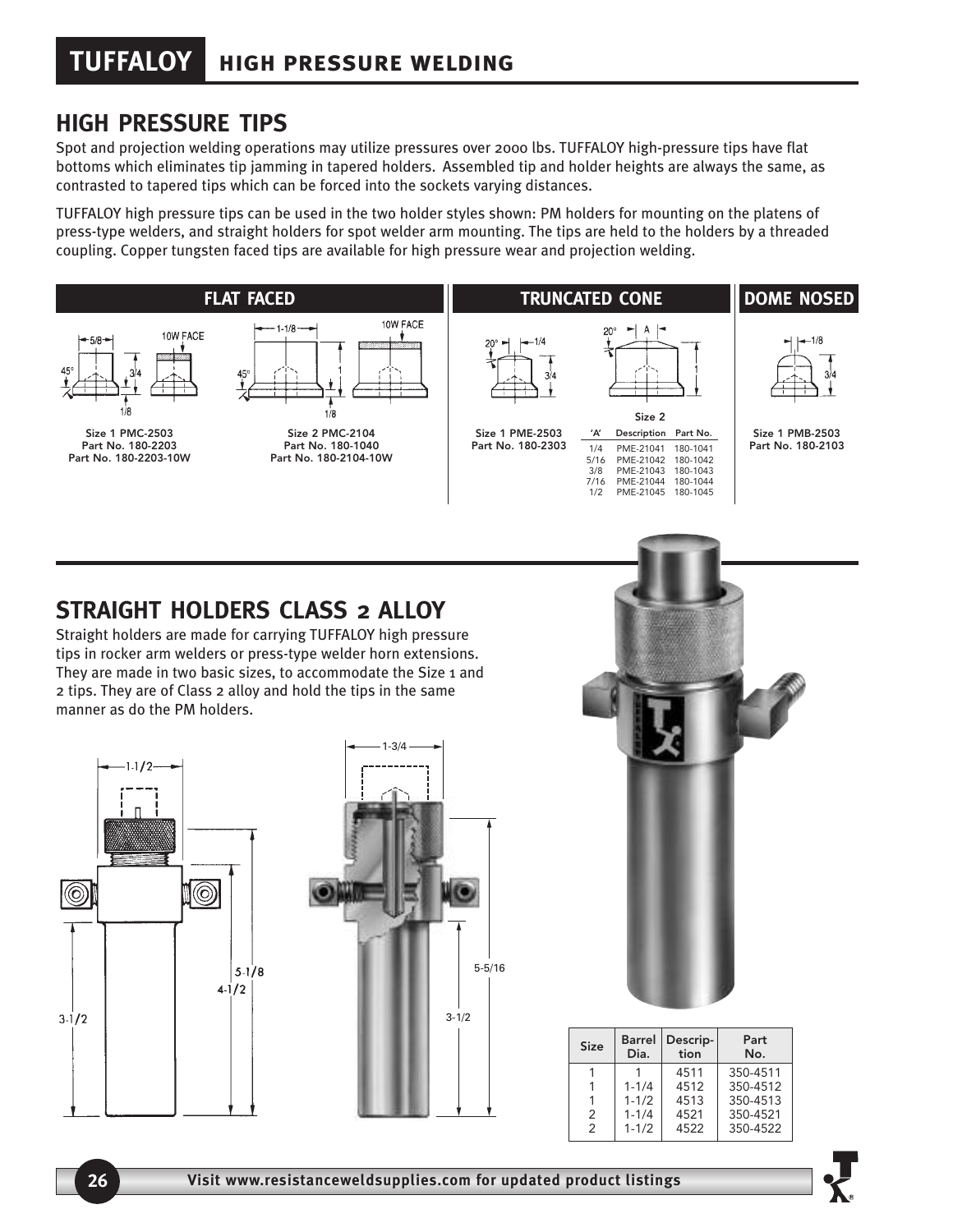## **HIGH PRESSURE TIPS**

Spot and projection welding operations may utilize pressures over 2000 lbs. TUFFALOY high-pressure tips have flat bottoms which eliminates tip jamming in tapered holders. Assembled tip and holder heights are always the same, as contrasted to tapered tips which can be forced into the sockets varying distances.

TUFFALOY high pressure tips can be used in the two holder styles shown: PM holders for mounting on the platens of press-type welders, and straight holders for spot welder arm mounting. The tips are held to the holders by a threaded coupling. Copper tungsten faced tips are available for high pressure wear and projection welding.



## **STRAIGHT HOLDERS CLASS 2 ALLOY**

Straight holders are made for carrying TUFFALOY high pressure tips in rocker arm welders or press-type welder horn extensions. They are made in two basic sizes, to accommodate the Size 1 and 2 tips. They are of Class 2 alloy and hold the tips in the same manner as do the PM holders.







| <b>Size</b>   | Barrel<br>Dia. | Descrip-<br>tion | Part<br>No. |
|---------------|----------------|------------------|-------------|
|               |                | 4511             | 350-4511    |
|               | $1 - 1/4$      | 4512             | 350-4512    |
|               | $1 - 1/2$      | 4513             | 350-4513    |
| 2             | $1 - 1/4$      | 4521             | 350-4521    |
| $\mathcal{P}$ | $1 - 1/2$      | 4522             | 350-4522    |
|               |                |                  |             |